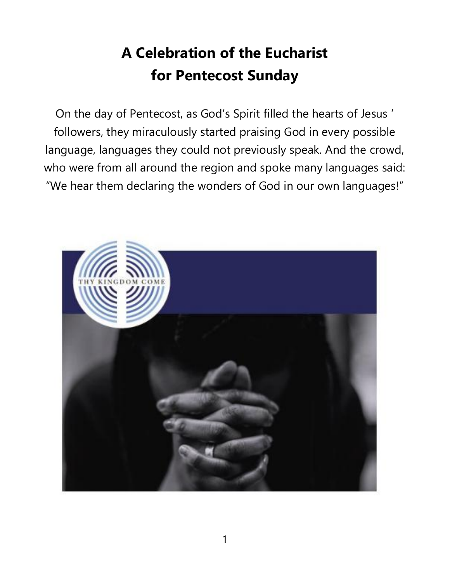# **A Celebration of the Eucharist for Pentecost Sunday**

On the day of Pentecost, as God's Spirit filled the hearts of Jesus ' followers, they miraculously started praising God in every possible language, languages they could not previously speak. And the crowd, who were from all around the region and spoke many languages said: "We hear them declaring the wonders of God in our own languages!"

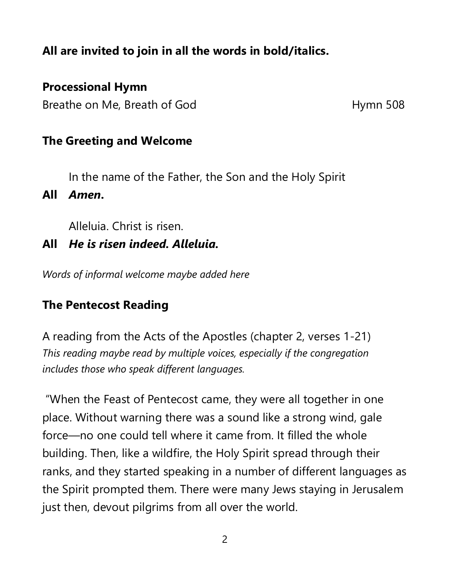# **All are invited to join in all the words in bold/italics.**

# **Processional Hymn**

Breathe on Me, Breath of God Hymn 508

### **The Greeting and Welcome**

In the name of the Father, the Son and the Holy Spirit

**All** *Amen***.** 

Alleluia. Christ is risen.

**All** *He is risen indeed. Alleluia.*

*Words of informal welcome maybe added here* 

# **The Pentecost Reading**

A reading from the Acts of the Apostles (chapter 2, verses 1-21) *This reading maybe read by multiple voices, especially if the congregation includes those who speak different languages.*

"When the Feast of Pentecost came, they were all together in one place. Without warning there was a sound like a strong wind, gale force—no one could tell where it came from. It filled the whole building. Then, like a wildfire, the Holy Spirit spread through their ranks, and they started speaking in a number of different languages as the Spirit prompted them. There were many Jews staying in Jerusalem just then, devout pilgrims from all over the world.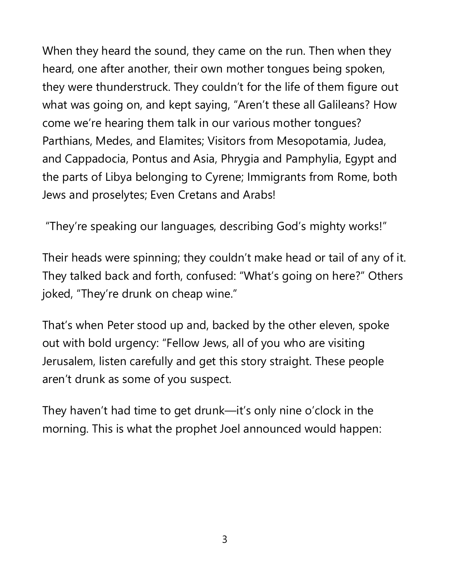When they heard the sound, they came on the run. Then when they heard, one after another, their own mother tongues being spoken, they were thunderstruck. They couldn't for the life of them figure out what was going on, and kept saying, "Aren't these all Galileans? How come we're hearing them talk in our various mother tongues? Parthians, Medes, and Elamites; Visitors from Mesopotamia, Judea, and Cappadocia, Pontus and Asia, Phrygia and Pamphylia, Egypt and the parts of Libya belonging to Cyrene; Immigrants from Rome, both Jews and proselytes; Even Cretans and Arabs!

"They're speaking our languages, describing God's mighty works!"

Their heads were spinning; they couldn't make head or tail of any of it. They talked back and forth, confused: "What's going on here?" Others joked, "They're drunk on cheap wine."

That's when Peter stood up and, backed by the other eleven, spoke out with bold urgency: "Fellow Jews, all of you who are visiting Jerusalem, listen carefully and get this story straight. These people aren't drunk as some of you suspect.

They haven't had time to get drunk—it's only nine o'clock in the morning. This is what the prophet Joel announced would happen: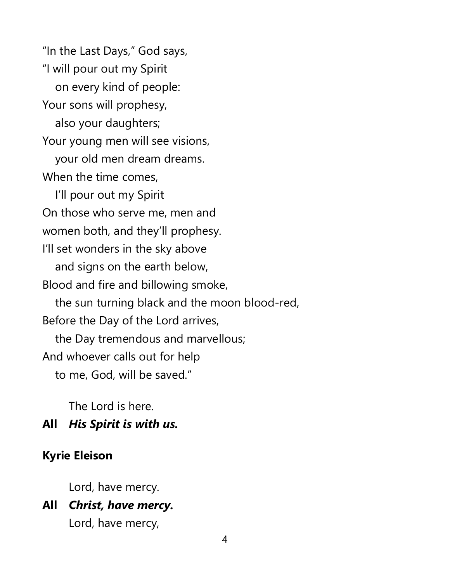"In the Last Days," God says, "I will pour out my Spirit on every kind of people: Your sons will prophesy, also your daughters; Your young men will see visions, your old men dream dreams. When the time comes, I'll pour out my Spirit On those who serve me, men and women both, and they'll prophesy. I'll set wonders in the sky above and signs on the earth below, Blood and fire and billowing smoke, the sun turning black and the moon blood-red, Before the Day of the Lord arrives, the Day tremendous and marvellous; And whoever calls out for help to me, God, will be saved."

The Lord is here.

### **All** *His Spirit is with us.*

### **Kyrie Eleison**

Lord, have mercy.

**All** *Christ, have mercy.* Lord, have mercy,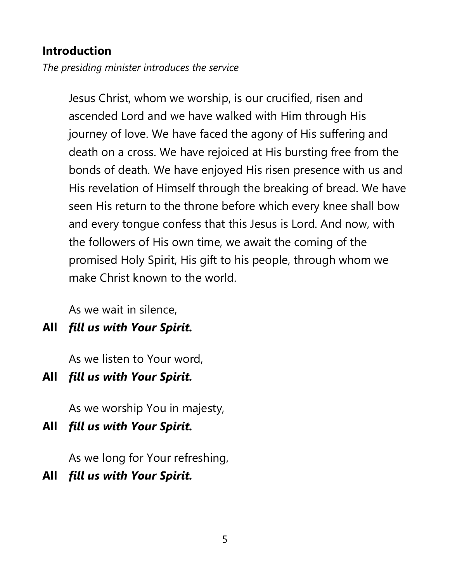### **Introduction**

*The presiding minister introduces the service* 

Jesus Christ, whom we worship, is our crucified, risen and ascended Lord and we have walked with Him through His journey of love. We have faced the agony of His suffering and death on a cross. We have rejoiced at His bursting free from the bonds of death. We have enjoyed His risen presence with us and His revelation of Himself through the breaking of bread. We have seen His return to the throne before which every knee shall bow and every tongue confess that this Jesus is Lord. And now, with the followers of His own time, we await the coming of the promised Holy Spirit, His gift to his people, through whom we make Christ known to the world.

As we wait in silence,

**All** *fill us with Your Spirit.*

As we listen to Your word,

**All** *fill us with Your Spirit.*

As we worship You in majesty,

**All** *fill us with Your Spirit.* 

As we long for Your refreshing,

**All** *fill us with Your Spirit.*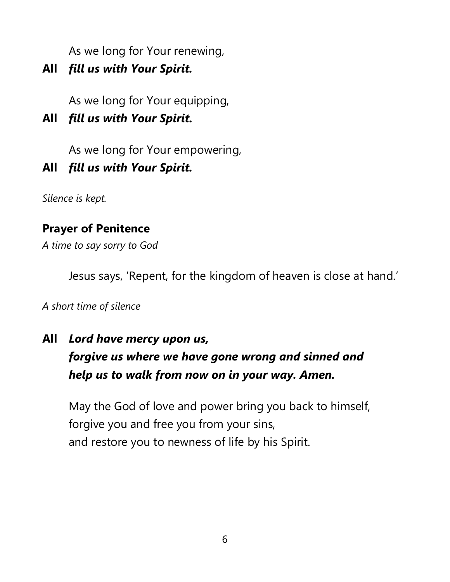As we long for Your renewing,

**All** *fill us with Your Spirit.*

As we long for Your equipping,

**All** *fill us with Your Spirit.*

As we long for Your empowering,

**All** *fill us with Your Spirit.*

*Silence is kept.* 

# **Prayer of Penitence**

*A time to say sorry to God* 

Jesus says, 'Repent, for the kingdom of heaven is close at hand.'

### *A short time of silence*

**All** *Lord have mercy upon us, forgive us where we have gone wrong and sinned and help us to walk from now on in your way. Amen.*

May the God of love and power bring you back to himself, forgive you and free you from your sins, and restore you to newness of life by his Spirit.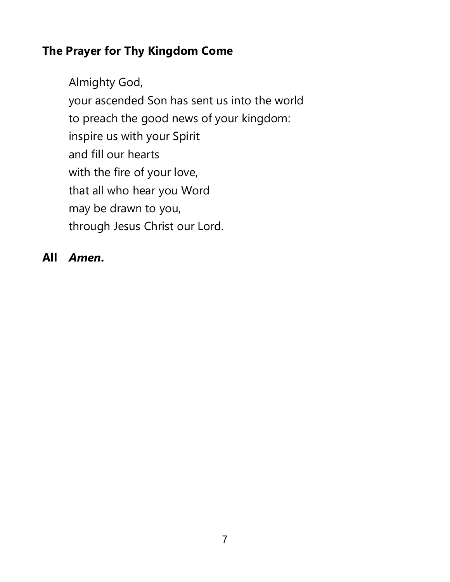# **The Prayer for Thy Kingdom Come**

Almighty God, your ascended Son has sent us into the world to preach the good news of your kingdom: inspire us with your Spirit and fill our hearts with the fire of your love, that all who hear you Word may be drawn to you, through Jesus Christ our Lord.

### **All** *Amen***.**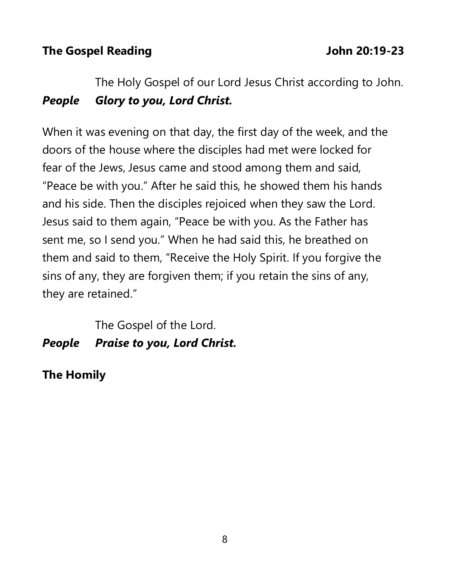# **The Gospel Reading The Gospel Reading The Gospel Reading The Gospel Reading The Gospel Reading The Contract International American American American American American American American American American American American**

# The Holy Gospel of our Lord Jesus Christ according to John. *People Glory to you, Lord Christ.*

When it was evening on that day, the first day of the week, and the doors of the house where the disciples had met were locked for fear of the Jews, Jesus came and stood among them and said, "Peace be with you." After he said this, he showed them his hands and his side. Then the disciples rejoiced when they saw the Lord. Jesus said to them again, "Peace be with you. As the Father has sent me, so I send you." When he had said this, he breathed on them and said to them, "Receive the Holy Spirit. If you forgive the sins of any, they are forgiven them; if you retain the sins of any, they are retained."

# The Gospel of the Lord. *People Praise to you, Lord Christ.*

**The Homily**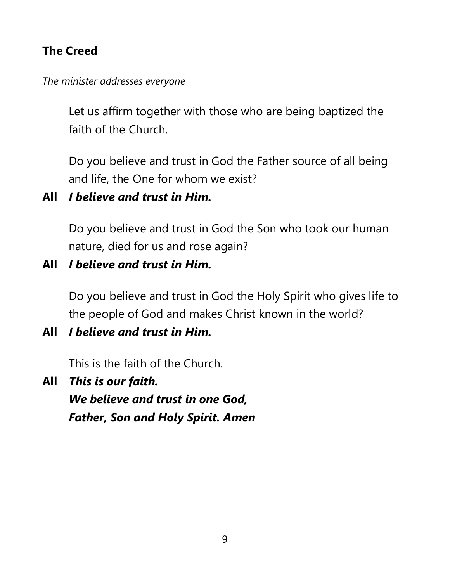# **The Creed**

*The minister addresses everyone*

Let us affirm together with those who are being baptized the faith of the Church.

Do you believe and trust in God the Father source of all being and life, the One for whom we exist?

# **All** *I believe and trust in Him.*

Do you believe and trust in God the Son who took our human nature, died for us and rose again?

# **All** *I believe and trust in Him.*

Do you believe and trust in God the Holy Spirit who gives life to the people of God and makes Christ known in the world?

**All** *I believe and trust in Him.*

This is the faith of the Church.

**All** *This is our faith. We believe and trust in one God, Father, Son and Holy Spirit. Amen*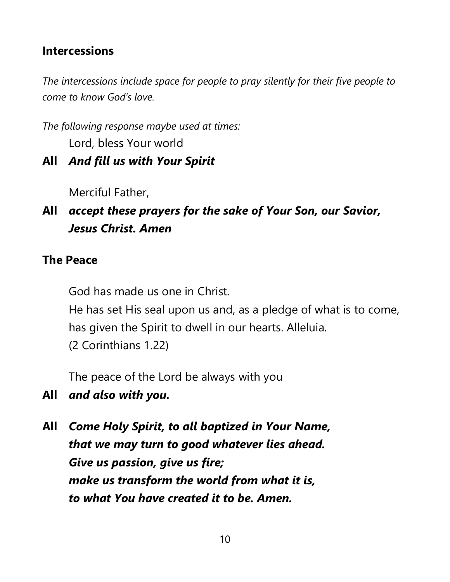### **Intercessions**

*The intercessions include space for people to pray silently for their five people to come to know God's love.* 

*The following response maybe used at times:*  Lord, bless Your world

**All** *And fill us with Your Spirit*

Merciful Father,

**All** *accept these prayers for the sake of Your Son, our Savior, Jesus Christ. Amen*

# **The Peace**

God has made us one in Christ.

He has set His seal upon us and, as a pledge of what is to come, has given the Spirit to dwell in our hearts. Alleluia. (2 Corinthians 1.22)

The peace of the Lord be always with you

- **All** *and also with you.*
- **All** *Come Holy Spirit, to all baptized in Your Name, that we may turn to good whatever lies ahead. Give us passion, give us fire; make us transform the world from what it is, to what You have created it to be. Amen.*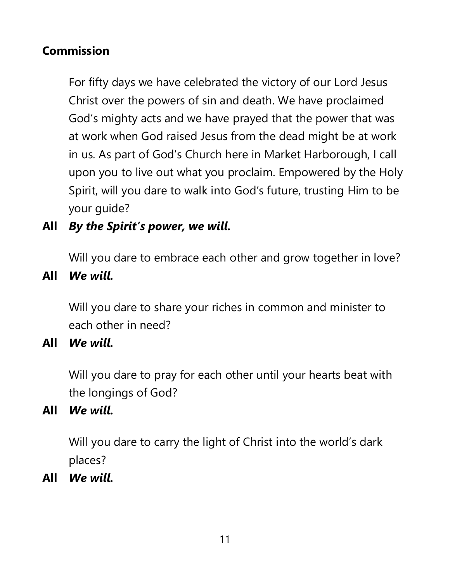# **Commission**

For fifty days we have celebrated the victory of our Lord Jesus Christ over the powers of sin and death. We have proclaimed God's mighty acts and we have prayed that the power that was at work when God raised Jesus from the dead might be at work in us. As part of God's Church here in Market Harborough, I call upon you to live out what you proclaim. Empowered by the Holy Spirit, will you dare to walk into God's future, trusting Him to be your guide?

**All** *By the Spirit's power, we will.*

Will you dare to embrace each other and grow together in love?

**All** *We will.*

Will you dare to share your riches in common and minister to each other in need?

**All** *We will.*

Will you dare to pray for each other until your hearts beat with the longings of God?

**All** *We will.*

Will you dare to carry the light of Christ into the world's dark places?

**All** *We will.*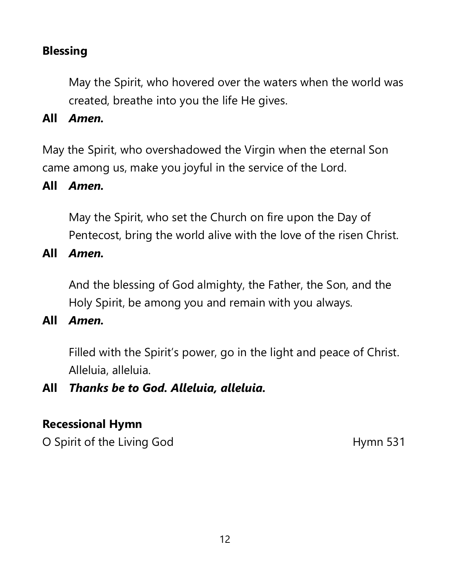# **Blessing**

May the Spirit, who hovered over the waters when the world was created, breathe into you the life He gives.

#### **All** *Amen.*

May the Spirit, who overshadowed the Virgin when the eternal Son came among us, make you joyful in the service of the Lord.

#### **All** *Amen.*

May the Spirit, who set the Church on fire upon the Day of Pentecost, bring the world alive with the love of the risen Christ.

**All** *Amen.*

And the blessing of God almighty, the Father, the Son, and the Holy Spirit, be among you and remain with you always.

**All** *Amen.*

Filled with the Spirit's power, go in the light and peace of Christ. Alleluia, alleluia.

### **All** *Thanks be to God. Alleluia, alleluia.*

### **Recessional Hymn**

O Spirit of the Living God Hymn 531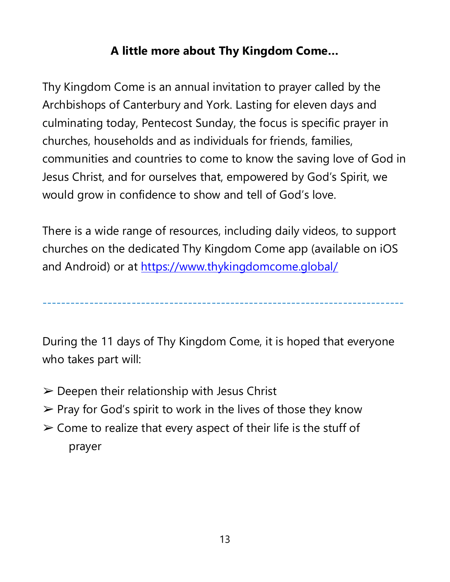# **A little more about Thy Kingdom Come…**

Thy Kingdom Come is an annual invitation to prayer called by the Archbishops of Canterbury and York. Lasting for eleven days and culminating today, Pentecost Sunday, the focus is specific prayer in churches, households and as individuals for friends, families, communities and countries to come to know the saving love of God in Jesus Christ, and for ourselves that, empowered by God's Spirit, we would grow in confidence to show and tell of God's love.

There is a wide range of resources, including daily videos, to support churches on the dedicated Thy Kingdom Come app (available on iOS and Android) or at<https://www.thykingdomcome.global/>

-----------------------------------------------------------------------------

During the 11 days of Thy Kingdom Come, it is hoped that everyone who takes part will:

- $\triangleright$  Deepen their relationship with Jesus Christ
- $\triangleright$  Pray for God's spirit to work in the lives of those they know
- $\geq$  Come to realize that every aspect of their life is the stuff of prayer